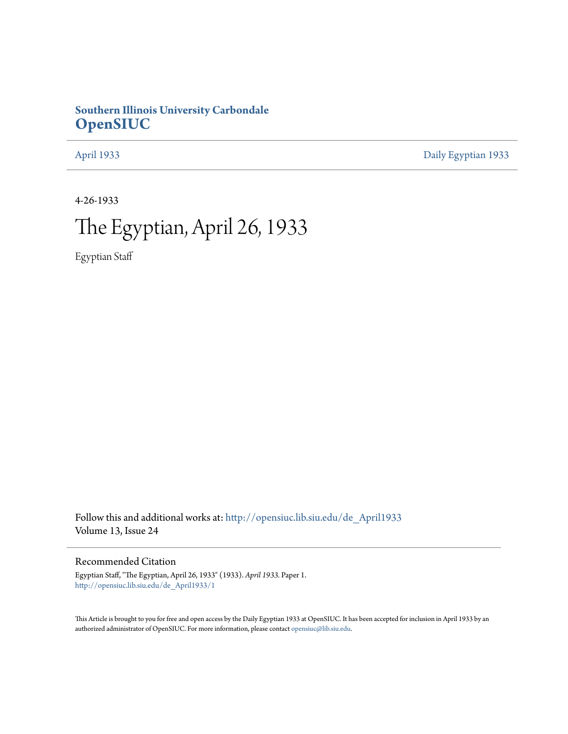# **Southern Illinois University Carbondale [OpenSIUC](http://opensiuc.lib.siu.edu?utm_source=opensiuc.lib.siu.edu%2Fde_April1933%2F1&utm_medium=PDF&utm_campaign=PDFCoverPages)**

[April 1933](http://opensiuc.lib.siu.edu/de_April1933?utm_source=opensiuc.lib.siu.edu%2Fde_April1933%2F1&utm_medium=PDF&utm_campaign=PDFCoverPages) [Daily Egyptian 1933](http://opensiuc.lib.siu.edu/de_1933?utm_source=opensiuc.lib.siu.edu%2Fde_April1933%2F1&utm_medium=PDF&utm_campaign=PDFCoverPages)

4-26-1933

# The Egyptian, April 26, 1933

Egyptian Staff

Follow this and additional works at: [http://opensiuc.lib.siu.edu/de\\_April1933](http://opensiuc.lib.siu.edu/de_April1933?utm_source=opensiuc.lib.siu.edu%2Fde_April1933%2F1&utm_medium=PDF&utm_campaign=PDFCoverPages) Volume 13, Issue 24

# Recommended Citation

Egyptian Staff, "The Egyptian, April 26, 1933" (1933). *April 1933.* Paper 1. [http://opensiuc.lib.siu.edu/de\\_April1933/1](http://opensiuc.lib.siu.edu/de_April1933/1?utm_source=opensiuc.lib.siu.edu%2Fde_April1933%2F1&utm_medium=PDF&utm_campaign=PDFCoverPages)

This Article is brought to you for free and open access by the Daily Egyptian 1933 at OpenSIUC. It has been accepted for inclusion in April 1933 by an authorized administrator of OpenSIUC. For more information, please contact [opensiuc@lib.siu.edu](mailto:opensiuc@lib.siu.edu).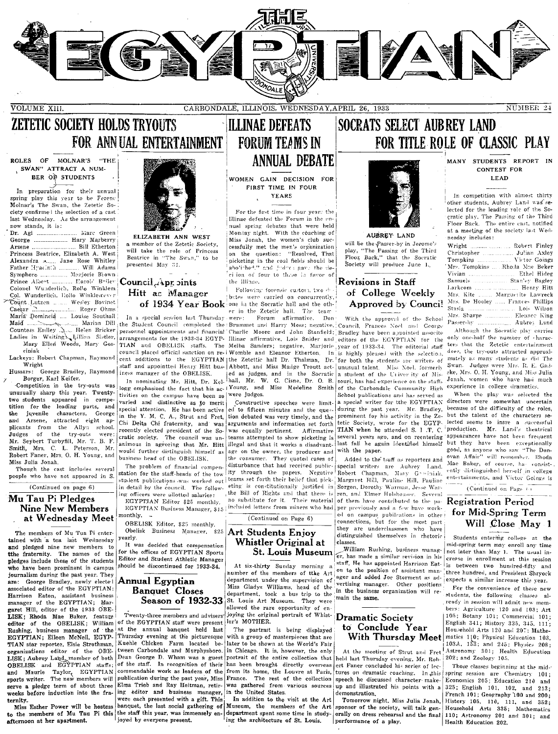

VOLUME XIII.

CARBONDALE, ILLINOIS, WEDNESDAY, APRIL 26, 1933

# **ZETETIC SOCIETY HOLDS TRYOUTS** FOR ANNUAL ENTERTAINMENT

## ROLES OF MOLNAR'S "THE , SWAN" ATTRACT A NUM-BER OF STUDENTS

In preparation for their annual spring play this year to be Ferenc Molnar's The Swan, the Zetetic Society confirme ! the selection of a cast last Wednesday As the arrangement now stands, it is:

Dr. Agi ................... Marc Green George .................... Hary Marberry .... Bill Etherton Arsene. Princess Beatrice, Elizabeth A. West<br>Alexandra A..... Jane Rose Whitley<br>Father Hyacinta .............. Will Adams Symphoro ............... Merjorie Brown Prince Albert Colonel Wunderlich, Rollo Winklem Col. Wunderlich, Eollo Winklemever Count Lutzen ....... Wesley Bovinet Roger Ohms Caesar  $\therefore$ Maria Domincia .... Louise Southall Maid James Street, Suit Countess Erdley Helen Bricker Ladies in Waiting Lillian Sistler,<br>Mary Ellen Woods, Mary Goseiniak

Lackeys: Robert Chapman, Raymond Wright

Borger, Karl Keifer.

Competition in the try-outs was unusually sharp this vear. Twentytwo students appeared in competition for the leading parts, and the juvenile characters, George Arsene, attracted eight apand plicants from the Allyn school.<br>Judges of the try-outs were: Mr. Seybert Turbyfill, Mr. T. B. F. Smith, Mrs. C. L. Peterson, Mr. Robert Faner, Mrs. O. H. Young, and Miss Julia Jonah.

Though the cast includes several people who have not appeared in S. (Continued on page 6)

Mu Tau Pi Pledges **Nine New Members** at Wednesday Meet

The members of Mu Tua Pi entertained with a tea last Wednesday and pledged nine new members to the fraternity. The names of the pledges include those of the students who have been prominent in campus journalism during the past year. They are: George Bradley, newly electe associated editor of the EGYPTIAN: Harrison Eaton, assistant business<br>manager of the EGYPTIAN; Margaret Hill, editor of the 1933 OBE-LISK; Rhoda Mae Baker, feature editor of the OBELISK; William Rushing, business manager of the<br>EGYPTIAN: Eileen McNeil, EGYP-TIAN star reporter, Elsie Strothman, organizations editor of the OBE-LISK; Aubrey Land, member of both<br>OBELISK and EGYPTIAN staffs; and Maurie Taylor, EGYPTIAN sports writer. The new members will serve a pledge term of about three weeks before induction into the fraternity.

afternoon at her apartment.



FLIZARETH ANN WEST a member of the Zetetic Society. will take the role of Princess Beatrice in "The Swan," to be presented May 31.

# ..... Earold Briley Council Apr sints Hitt ac Manager

In a special session last Thursday Marian Dill the Student Council completed the! personnel appointments and financial TIAN and OBELISK staffs. The staff and appointted Henry Hitt hus-Hussars: George Bradley, Raymond iness manager of the OBELISK.

In nominating Mr. Hitt, Dr. Keltivities on the campus have been so varied and distinctive as to merit special attention. He has been active in the Y. M. C. A., Strut and Fret, Chi Delta Chi fraternity, and was recently elected president of the Socratic society. The council was unanimous in agreeing that Mr. Hitt would further distinguish himself as business head of the OBELISK.

The problem of financial compenstation for the staff-heads of the tow student publications was worked out<br>in detail by the council. The following officers were allotted salaries:

EGYPTIAN Editor \$25 monthly. EGYPTIAN Business Manager, \$15 monthly. -

OBELISK Editor, \$25 monthly. Obelisk Business Manager, \$25 Art Students Enjoy early.

It was decided that compensation for the offices of EGYPTIAN Sports Editor and Student Athletic Manager should be discontinued for 1933-34.

# Annual Egyptian **Banquet** Closes Season of 1932-33

Twenty-three members and advisors\* of the EGYPTIAN staff were present ler's MOTHER. at the annual banquet held last Thursday evening at the picturesque Kuehle Chicken Farm located between Carbondale and Murphysboro. Dean George D. Wham was a guest<br>of the staff. In recognition of their commendable work as leaders of the publication during the past year, Miss Elma Trieb and Ray Heitman, retiring editor and business manager, were each presented with a gift. This Miss Esther Power will be hostess banquet, the last social gathering of<br>to the members of Mu Tau Pi this the staff this year, was immensely en-

joyed by everyone present.

# **ILLINAE DEFEATS FORUM TEAMS IN ANNUAL DEBATE**

WOMEN GAIN DECISION FOR FIRST TIME IN FOUR **YEARS** 

For the first time in four years the Illinae defeated the Forum in the en nual spring debates that were held Monday night. With the coaching of Miss Jonah, the women's club successfully met the men's organization on the question: "Resolved, That picketing in the coal fields should be abolished." and fuders again the deci ion of four to three in favor of the Illinae.

Following forensic custom, two dbates were carried on concurrently. of 1934 Year Book one in the Socratic hall and the other in the Zetetic hall. The team

Forum affirmative, Don were: were judges.

Constructive speeches were limited to fifteen minutes and the question debated was very timely, and the arguments and information set forth was equally pertinent. Affirmative teams attempted to show picketing is illegal and that it works a disadvant- last fall he again identified himself age on the owner, the producer and with the paper. the consumer. They quoted cases of disturbance that had received publicdisturbance that had received public- special writers are Aubrey Land.<br>ity through the papers. Negative Robert Chapman, Mary Grecialak. teams set forth their belief that pick- Margaret Hill, Pauline Hill, Pauline eting is constitutionally justified in the Bill of Rights and that there is ren, and Elmer Holshouser. Several no substitute for it. Their material of them have contributed to the paincluded letters from miners who had

 $(Continued on Page 6)$ 

# Whistler Original at **St. Louis Museum**

At six-thirty Sunday morning number of the members of tthe Art department under the supervision of Miss Gladys Williams, head of the department, took a bus trip to the St. Louis Art Museum. They were allowed the rare opportunity of en-<br>joying the original portrait of Whist-

The partrait is being displayed with a group of masterpieces that are later to be shown at the World's Fair in Chicago. It is, however, the only portrait of the entire collection that has been brought directly overseas from its home, the Louvre at Paris,<br>France. The rest of the collection was gathered from various sources up and illustrated his points with a in the United States. In addition to the visit at the Art

ing the architecture of St. Louis.

# **SOCRATS SELECT AUBREY LAND** FOR TITLE ROLE OF CLASSIC PLAY



AUBREY LAND will be the Passer-by in Jerome's play. "The Passing of the Third Floor Back," that the Socratic Society will produce June 1.

# Revisions in Staff of College Weekly Approved by Council

With the approval of the School Brummet and Harry Moss; negative, Council, Frances Noel and George Charlie Moore and John Stanfield; Bradley have been appointed associte arrangements for the 1933-34 EGYP- Illinae affirmative, Lois Snider and editors of the EGYPTIAN for the Melba Sanders; negative, Marjorie year of 1933-34. The editorial staff council placed official sanction on re- Womble and Eleanor Etherton. In is highly pleased with the selection, cent additions to the EGYPTIAN the Zetettic hall Dr. Thalman, Dr. for both the students are writers of Abbott, and Miss Madge Troutt act- unusual talent. Miss Noel, formerly ed as judges, and in the Socratic a student of the University of Missional, Mr. W. G. Cisne, Dr. O. B. souri, has had experience on the staffs souri, has had experience on the staffs logg emphasized the fact that his ac-1Young, and Miss Medeline Smith of the Carbondale Community High School publications and has served as a special writer for the EGYPTIAN during the past year. Mr. Bradley, prominent for his activity in the Ze tetic Society, wrote for the EGYP-TIAN when he attended S. I .T. C. several vears ago, and on reentering

Added to the tsaff as reporters and Sorgen, Dorothy Warman, Jesse Warper previously and a few have worked on campus pubilcations in other connections, but for the most part they are underclassmen who have distinguished themselves in rhetoric elasses

William Rushing, business manager, has made a similar revision in his staff. He has appointed Harrison Eaton to the position of assistant manager and added Joe Storment as advertising manager. Other positions in the business organization will remain the same.

# **Dramatic Society** to Conclude Year With Thursday Meet

At the meeting of Strut and Fret held last Thursday evening, Mr. Robert Faner concluded his series of lectures on dramatic coaching. In this speech he discussed character makedemonstration.

Tomorrow night, Miss Julia Jonah. Museum, the members of the Art sponsor of the society, will talk gendepartment spent some time in study- erally on dress rehearsal and the final performance of a play.

MANY STUDENTS REPORT IN **CONTEST FOR IFAD** 

In competition with almost thirty other students, Aubrey Land was selected for the leading role of the Socratic play, The Passing of the Third Floor Back. The entire cast, notified at a meeting of the society last Wednesday includes:

| Wright   Robert Finley           |
|----------------------------------|
| Christopher  Julian Axley        |
| Tompkins  Victor Goings          |
| Mrs. Tompkins  Rholla Mae Beker  |
|                                  |
|                                  |
|                                  |
| Mrs. Kite  Marguetite Lawreck    |
| Mrs. De Hooley  Frances Phillips |
| Stasia  Lois Wilson              |
|                                  |
| Passer-by  Aubrey Land           |

Although the Socratic play carries only one-half the number of characters that the Zetetic entertainment does, the try-outs attracted approximately as many students as did The Swan. Judges were Mrs. R. E. Gadske, Mrs. O. H. Young, and Miss Julia Jonah, women who have had much experience in college dramatics.

When the play was selected the directors were somewhat uncertain because of the difficulty of the roles, but the talent of the characters se lected seems to insre a successful<br>production. Mr. Land's theatrical appearances have not been frequent but they have been exceptionally good, as anyone who saw "The Donovan Affair" will remember. Rhoda Mae Baker, of course, ha consistently distinguished herself in college entertainments, and Victor Goings is (Continued on Page  $\epsilon$ )

**Registration Period** for Mid-Spring Term Will Close May 1

Students entering college at the mid-spring term may enroll any time not later than May 1. The usual increase in enrollment at this session is between two hundred-fifty and three hundred, and President Shryock expects a similar increase this year.

For the convenience of these new students, the following classes already in session will admit new members: Agriculture 120 and 103; Art 105; Botany 101; Commercial 101; English 341; History 335, 345, 111; Household Arts 120 and 207; Mathematics 110; Physical Education 103, 103A, 153; and 245; Physics 208; Astronomy 301; Health Education 202; and Zoology 105.

Those classes beginning at the midspring session are Chemistry 101: Economics 205; Education 210 and 325; English 101, 102, and 213; French 101; Geography 100 and 200; History 105, 110, 111, and 352; Household Arts 385; Mathematics<br>110; Astronomy 201 and 301; and Health Education 202.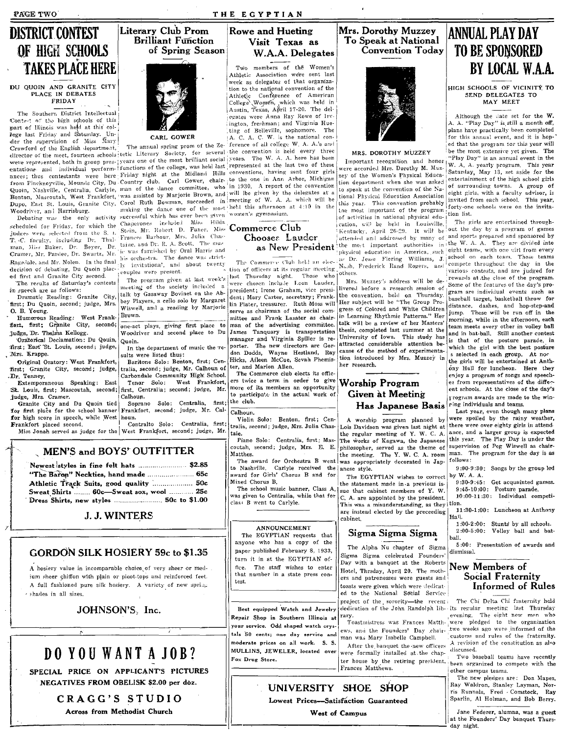PAGE TWO

# **DISTRICT CONTEST** OF HIGH SCHOOLS **TAKES PLACE HERE**

#### DU QUOIN AND GRANITE CITY PLACE IN DEBATES FRIDAY

The Southern District Intellectual Contest of the high schools of this part of Illinois was held at this college last Friday and Saturday. Under the supervision of Miss Mary Crawford of the English department, director of the meet, fourteen schools tetic Literary Society, for several the convention is held every three were represented, both in group pres- greats one of the most brilliant social since convenience is near every timed entations . and individual perform- ! functions of the college, was held least represented at the last two of these materials.

Woodriver, and Harrisburg.

scheduled for Friday, for which the judges were selected from the S. 1. T. C. faculty, including Dr. Thalman, Miss Baker, Dr. Beyer, Dr. Cramer, Mr. Pardee, Dr. Swartz, Mr. Ragsdale, and Mr. Nolen. In the final decision of debating, Du Quoin placed first and Granite City second.

The results of Saturday's contests in speech are as follows:

Dramatic Reading: Granite City, first; Du Quoin, second; judge, Mrs. O. B. Young.

Humorous Reading: West Frank-<br>
fort, first; Granite City, second,<br>
judge, Dr. Thelma Kellogg.

Oratorical Declamation: Du Qouin, ffirst; East St. Louis, second; judge, Mrs. Krappe.

Original Oratory: West Frankfort first; Granite City, second; judge, .Dr. Tenney.

Extemporaneous Speaking: East St. Louis, first; Mascoutah, second; first, Centralia; second; judge, Mr. judge, Mrs. Cramer.

Granite City and Du Quoin tied for first place for the school banner for high score in speech, while West houn. Frankfort placed second.

CARL GOWER

Debating was the only activity successful which has ever been given women's gymnasium. Chaperones included Miss Hilda<br>Stein, Mr. Robert D. Faner, Miss Frances Barbour, Mrs. Julia Chastaine, and Dr. R. A. Scott. The music was furnished by Oral Harris and

his orchestra. The dance was strictinvitational, and about twenty  $\overline{1}x$ couples were present.

The program given at last week's meeting of the society included a talk by Gasaway Bovinet on the Abbey Players, a cello solo by Margaret Wiswell, and a reading by Marjorie Brown.

one-act plays, giving first place to Woodriver and second place to Du Quoin.

In the department of music the results were listed thus:

Baritone Solo: Benton, first; Centralia, second; judge, Mr. Calhoun of Carbondale Community High School. West Frankfort, Tenor Solo:

Calhoun. Soprano Solo: Centralia, first;

Frankfort, second; judge, Mr. Cal-Contralto Solo: Centralia, first;

Miss Jonah served as judge for the West Frankfort, second; judge, Mr.

## MEN'S and BOYS' OUTFITTER  $\mathbf{a}$  and  $\mathbf{a}$  and  $\mathbf{a}$  and  $\mathbf{a}$

| "The Baron" Neckties, hand made  65c    |                  |
|-----------------------------------------|------------------|
| Athletic Track Suits, good quality  50c |                  |
| Sweat Shirts  60c-Sweat sox, wool  25c  |                  |
| : Dress Shirts, new styles              | $50c$ to $$1.00$ |

# **J. J. WINTERS**

# GORDON SILK HOSIERY 59c to \$1.35

A hosiery value in incomparable choice of very sheer or medium sheer chiffon with plain or picot-tops and reinforced feet. A full fashioned pure silk hosiery. A variety of new spring · shades in all sizes.

JOHNSON'S, Inc.

DO YOU WANT A JOB?

SPECIAL PRICE ON APPLICANT'S PICTURES

NEGATIVES FROM OBELISK \$2.00 per doz.

# **Rowe and Hueting**



THE EGYPTIAN

Athletic Association were sent last week as delegates of that organization to the national convention of the Athletic Conference of American<br>College Women, which was held in Austin, Texas, April 17-20. The delegates were Anna Ray Rowe of Irvington, freshman; and Virginia Hueting of Belleville, sophomore. The A. C. A. C. W. is the national con-

The annual spring prom of the Ze-ference of all college W. A. A.'s and ances; thus contestants were here Friday night at the Midland Hills conventions, having sent four girls from Finckneyville, Mounds City, Du Country club. Carl Gower, chair-Quoin, Nashville, Centralia, Carlyle, man of the dance committee, who in 1930. A report of the convention Benton, Mascoutah, West Frankfort, was assisted by Marjorie Brown, and will be given by the delegates at a Duron, nassourant west riammurt, was asseted by marjorie brown, and with the given by the delegates at a making the dance one of the most held this afternoon at 4:10 in the

# Commerce Club Chooses Lauder as New President

The Commerce Club held an election of officers at its regular meeting, Nash, Frederick Rand Rogers, and tast Thursday night. Those who president; Irene Graham, vice president; Mary Carter, secretary; Frank lin Plater, treasurer. Ruth Moss will serve as chairman of the social committee and Frank Lasater as chairman of the advertising committee. James Tanouary is transportation manager and Virginia Spiller is reporter. The new directors are Gordon Dodds, Wayne Hestland, Ray Hicks, Aileen McCue, Sevah Phemister, and Marion Allen.

The Commerce club elects its officers twice a term in order to give more of its members an opportunity to participate in the actual work of the club.

 $C<sub>alhoun</sub>$ 

Violin Solo: Benton, first; Centralia, second; judge, Mrs. Julia Chastaie.

Piano Solo: Centralia, first; Mascoutah, second; judge, Mrs. E. E. Matthes.

to Nashville. Carlyle received the anese style. award for Girls' Chorus B and for Mixed Chorus B.

was given to Centralia, while that for class B went to Carlyle.

### ANNOUNCEMENT

The EGYPTIAN requests that anyone who has a copy of the paper published February 8, 1933, turn it in at the EGYPTIAN office. The staff wishes to enter that number in a state press contest

Best equipped Watch and Jewelry Repair Shop in Southern Illinois at your service. Odd shaped watch crystals 50 cents; one day service and moderate prices on all work. S. S. MULLINS, JEWELER, located over Fox Drug Store.

Mrs. Dorothy Muzzey To Speak at National **Convention Today** 



### MRS. DOROTHY MUZZEY

Important recognition and honor were accorded Mrs. Dorothy M. Muzzey of the Women's Physical Education department when she was asked to speak at the convention of the National Physical Education Association this year. This convention probably the most important of the program of activities in national physical education, will be held in Louisville, Kentucky, April 26-29. It will be attended and addressed by many of the most important authorities in physical education in America, such as Dr. Jesse Fiering Williams, J.

Mrs. Muzzey's address will be delivered before a research session of the convention, held on Thursday. Her subject will be "The Group Progress of Colored and White Children in Learning Rhythmic Patterns." Her talk will be a review of her Masters' thesis, completed last summer at the University of Iowa. This study has attracted considerable attention because of the method of experimentation introduced by Mrs. Muzzey in her research.

# **Worship Program Given at Meeting** Has Japanese Basis

A worship program planned by Lois Davidson was given last night at there were over eighty girls in attendthe regular meeting of Y. W. C. A. The works of Kagawa, the Japanese philosopher, served as the theme of<br>the meeting. The Y.W.C.A.room The award for Orchestra B went was appropriately decorated in Jap-

The EGYPTIAN wishes to correct the statement made in a previous is-The school music banner, Class A, sue that cabinet members of Y. W. C. A. are appointed by the president. This was a misunderstanding, as they tion are instead elected by the preceeding cabinet.

# Sigma Sigma Sigma

The Alpha Nu chapter of Sigma Sigma Sigma celebrated Founders' Day with a banquet at the Roberts Hotel, Thrsday, April 20. The mothers and patronesses were guests and toasts were given which were dedicated to the National Social Service project of the sorority-the recent

rary. Toastmistress was Frances Matth- were pledged to the organization ews, and the Founders' Day chairman was Mary Isabelle Campbell. After the banquet the new officers were formally installed at the chapter house by the retiring president. Frances Matthews.

# UNIVERSITY SHOE SHOP Lowest Prices-Satisfaction Guaranteed

West of Campus

# **ANNUAL PLAY DAY TO BE SPONSORED** BY LOCAL W.A.A.

HIGH SCHOOLS OF VICINITY TO SEND DELEGATES TO MAY MEET

Although the slate set for the W.<br>A. A. "Play Day" is still a month off, plans have practically been completed .<br>for this annual event, and it is honed that the program for this year will be the most extensive yet given. The 'Play Day" is an annual event in the W. A. A. yearly program. This year Saturday, May 13, set aside for the entertainment of the high school girls of surrounding towns. A group of eight girls, with a faculty advisor, is<br>invited from each school. This year, forty-one schools were on the invitation list.

The girls are entertained throughout the day by a program of games and sports prepared and sponsored by the W. A. A. They are divided into eight teams, with one wirl from every school on each team. These teams compete throughout the day in the various contests, and are judged for rewards at the close of the program. Some of the features of the day's program are individual events such as baseball target, basketball throw for distance, dashes, and hop-step-and<br>jump. These will be run off in the morning, while in the afternoon, each team meets every other in volley ball and in bat-ball. Still another contest is that of the posture parade, in which the girl with the best posture s selected in each group. At noc

the girls will be entertained at Anthony Hall for luncheon. Here they enjoy a program of songs and speeches from representatives of the different schools. At the close of the day's rrogram awards are made to the winring individuals and teams.

Last year, even though many plans were spoiled by the rainy weather, ance, and a larger group is expected this year. The Play Day is under the supervision of Peg Wiswell as chairman. The program for the day is as follows:

9:00-9:30: Songs by the group led by W. A. A.

9:30-9:45: Get acquainted games. 9:45-10:00: Posture parade. 10:00-11:30: Individual competi-

11:30-1:00: Luncheon at Anthony Hali.

1:00-2:00: Stunts by all schools. 2:00-5:00: Volley ball and batball.

5:00: Presentation of awards and dismissal.

# New Members of Social Fraternity Informed of Rules

The Chi Delta Chi fraternity held dedication of the John Randolph lib- its regular meeting last Thursday evening. The eight new men who two weeks ago were informed of the customs and rules of the fraternity. A revision of the constitution as also discussed.

Two baseball teams have recently been organized to compete with the other campus teams.

The new pledges are: Don Mapes, Ray Waldron, Stanley Layman, Nor-Sparlin, Al Holman, and Bob Berry.

Jane Federer, alumna, was a guest at the Founders' Day banquet Thursday night.

CRAGG'S STUDIO Across from Methodist Church

Literary Club Prom **Brilliant Function** of Spring Season

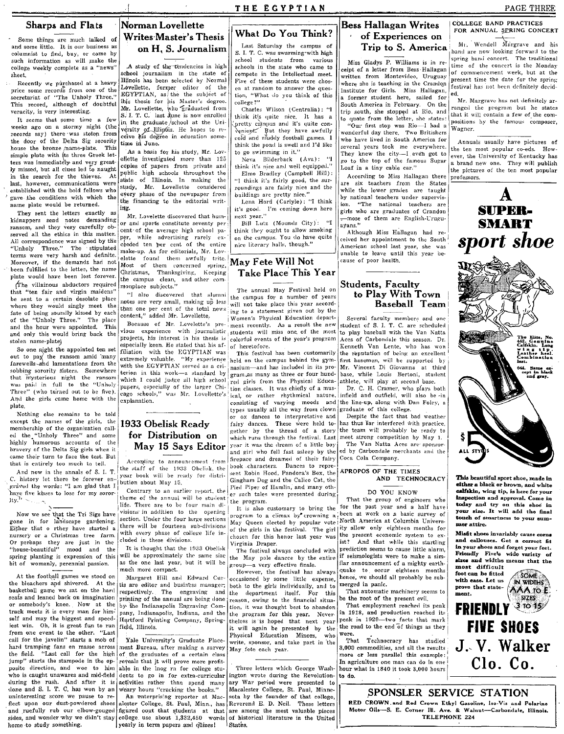Sharps and Flats

Some things are much talked of and some little. It is our business as<br>columnist to find, buy, or come by such information as will make the college weekly complete as a "news" sheet.

Recently We purchased at a heavy price some records from one of the<br>secretariat of "The Unholy Three." This record, although of doubtful veracity, is very interesting.

It seems that some time a few weeks ago on a stormy night (the records say) there was stoien from the door of the Delta Sig sorority house the bronze /name-plate. This simple plate with its three Greek letters was immediately and very greatly missed, but all clues led to naught in the search for the thieves. At last, however, communications were established with the bold fellows who gave the conditions with which the name plate would be returned.

They sent the letters exactly as kidnappers send notes demanding ransom, and they very carefully observed all the ethics in this matter. All correspondence was signed by the "Unholy Three." The stipulated "Unholy Three." The stipulated make-up. As for editorials, Mr. Lov-<br>terms were very harsh and definite.  $\frac{1}{1+t}$ terms were very harsh and definite.  $\begin{bmatrix}$  elette found them awfully trite.  $\begin{bmatrix} \mathbf{Max} & \mathbf{F} \end{bmatrix}$  **May Fete Will Not** Moreover, if the demands had not Most of them concerned spring,: May Fete WIII IVOL<br>been fulfilled to the letter, the name q hristmas, Thanksgiving, Keeping **Take Place This Year**<br>plate would have been lost forever. late would have been lost forever. The campus clean, and other com-<br>
The villainous abductors required monplace subjects."

where they would singly meet the instead of the content of the total news sear accord-<br>fate of being soundly kissed by each content " added Mr. I ovalidate in the statement given out by the<br>face of being soundly kissed by of the "Unholy Three." The place content," added Mr. Lovellette. i Women's Physical Education depart- Several faculty members and one<br>and the hour were annointed. This eecause of Mr. Lovelette's pre-iment recently. As a re and the hour were appointed. This Because of Mr. Lovelette's pre-, ment recently. As a result the new student of S. 1. T. C. are scheduled<br>and only this would bring back the vious experience with journalistic students will and only this would bring back the vious experience with journalistic students will miss one of the most to project to projects, his interest in his thesis is colorful events of the year's program

out to pay the ransom amid 'many extremely valuable. "My experience farewells and lamentations from the with the EGYPTIAN served as a crisolbing sorority sisters. Somewhere  $\begin{bmatrix} \text{wuc} & \text{wuc} & \text{uuc} & \text{uuc} & \text{uuc} & \text{uuc} & \text{uuc} & \text{uuc} & \text{uuc} & \text{uuc} & \text{uuc} & \text{uuc} & \text{uuc} & \text{uuc} & \text{uuc} & \text{uuc} & \text{uuc} & \text{uuc} & \text{uuc} & \text{uuc} & \text{uuc} & \text{uuc} & \text{uuc} & \text{uuc} & \text{uuc} & \text{$ Was paid in full to the "Unholy papers, especially of the larger Chi-l tion classes. It was chiefly of a mus- Dr. C. H. Cramer, who plays both Three" (who turned out to be five). cago schools," was Mr. Lovellette's ical, o Three (who turned out to be five). cago schools," was Mr. Lovellette's ical, or rather rhythmical nature, infield and outfield, will also be in

 $y_i^N$ ,  $\frac{1}{N}$  and  $\frac{1}{N}$  are that the Tri Sigs have gone in for landscape gardening. Either that o rthey have started a nursery or a Christmas tree farm. Or perhaps they are just in the Hhouse-beautiful" mood and the spring planting is expression of this bit of womanly, perennial passion.

the bleachers and shivered. At the tis are editor and business manager; both to the girls individually, and to basketball game we sat on the hard respectively. The engraving and the department itself. For this basketball game we sat on the hard respectively. The engraving and the department itself. For this That automatic machinery seems to seats and leaned back on imagination printing of the annual are being done reason, owing seats and leaned back on imagination printing of the annual are being done reason, owing to the financial situa- be the root of the present evil.<br>or somebody's knee. Now at the by the Indianapolis Engraving Com- tion, it from one event to the other. "Last  $\begin{bmatrix} 1 & 0 & 0 \\ 0 & 0 & 1 \end{bmatrix}$  which again be presented by the equation  $\begin{bmatrix} 1 & 0 & 0 \\ 0 & 1 & 0 \end{bmatrix}$  which again be presented by the vere-<br>call for the javelin" starts a mob of  $\begin{b$ call for the javelin" starts a mob of Yale University's Graduate Place- write, sponsor, and take part in the Technocracy has studied hard tramping fans en masse across ment Bureau, after making a survey May fore sch year. hard tramping fans en masse across ment Bureau, after making a survey May fete each year.<br>The field. "Last call for the high of the graduates of a certain class the field. "Last call for the high of the graduates of a certain class more of the more or less parallel this example:<br>jump" starts the stampede in the op-reveals that it will prove more profit. jump" starts the stampede in the op- reveals that it will prove more profit-<br>posite direction, and woe to him able in the lnog rn for college stu-<br>Three letters which George Wash- hour what in 1840 it took 3.000 hours imaginal state stamped in the op-reveals that it will prove more profit.<br>
posite direction, and wee to him able in the log rn for college stu-<br>
who is caught unawares and mid-field dents to go in for extra-curricular ingto during the rush. And after it is activities rather than spend many ary War period were presented to done and S. I. T. C. has won by an weary hours "cracking the books." Macalester College, St. Paul, Minneand ruefully rub our elbow-gouged figured oout that students at that are among the most valuable pieces home to study something.  $|$  yearly in term papers and quizes! States.

# Norman Lovellette Writes' Master's Thesis on H. S. Journalism Sharps and Flats<br>
Some things are much talked of Writes Master's Thesis (What Do You Think? The campus of  $\frac{1}{2}$  of Experiences on  $\frac{1}{2}$  FOR ANNUAL SPRING CONCERT<br>
columnist to find, buy, or come by on H, S. Journa

,A study of the tendencies in high school journalism in the state of compete in the Intellectual meet.<br>Illinois has been selected by Normal Five of these students were chos-Illinois has been selected by Normal Five of these students were chos-<br>Lovellette, former editor of the  $\epsilon$  en at random to answer the ques-Lovellette, former editor of the  $EGYPTIAN$  as the the subject of ihis thesis for his Master's degree. Mr. LoveHette, who graduated from S. I. T. C. last June is now enrolled in the graduate school at the University of Illinois. He hopes to receive his degree in education sometime in June.

As a basis for his study, Mr. Lov-<br>lette investigated more than  $125 \bigg|$  to go swimming in it."<br>Neva Bilderback (Ava): "I ellette investigated more than  $125$ copies of papers from private and public high schools throughout the state of Illinois. In making the study, Mr. Lovellette considered every phase of the newspaper from the financing to the editorial writ- $\int$  ing.

Mr. Lovelette discovered that humor and sports constitute seventy per cent· of the average high school paper, while advertising rarely ex-<br>ceeded ten per cent of the entire

terion in this work-a standard by which I could judge all high school

# What Do You Think?

S. I. T. C. was swarming"with high school students from various schools in the state who came to<br>compete in the Intellectual meet. tion, "What do you think of this college?"

Charles Wilson (Centralia): "I think it's quite nice. It has a  $\pi$  (pretty ca)npus and it's quite convenient. But they have awfully<br>cold and muddy football games. 1 think the pond is swell and  $\Gamma$ d like to go swimming in it."

think it's nice and well equipped." Elmo Bradley (Campbell Hill): "I think it's fairly good, the sur-

roundings are fairly nice and the buildings are pretty nice." Lena Hord (Carlyle): "I think

it's good. I'm coming down here next year." Bill Lutz (Mounds City): "I

think they ought to allow smoking on the campus. You do have quite nice literary halls, though."

than one per cent of the total news  $\lim_{n \to \infty}$  to a statement given out by the content," added Mr. Lovellette. (Women's Physical Education depart.) Several faculty members and one stolen name-plate) projects, his interest in his thesis is colorful events of the year's program aces of Carbonviale this season. Dr.<br>especially keen. He stated that his af- of heretofore.

nasium—and has included in its pro- Mr. Vincent Di Giovanna at third gram as many as three or four hund- base, while Louis Bertoni, student And the girls came home with the explanation.<br>
plate. types usually all the way from clown graduate of this college. Nothing else remains to be told or ox dances to interpretative and Despite the fact that bad weather<br>except the names of the girls, the **1933 Obelisk Ready** fairy dances. These were held to has thus far interfered with pra except the names of the girls, the 1933 Obelisk Ready fairy dances. These were held to- has thus Iar interfered with practice membership of the organization call. membership of the organization call-  $\overline{\text{cor}}$  gether by the thread of a story ed the "Unholy Three" and some  $\overline{\text{for Distribution on}}$ ed the "Unholy Three" and some for Distribution on which runs through the festival. Last meet strong competition by May 1.<br>highly humorous accounts of the Max 15 Save Editor year it was the dream of a little boy The Van N highly humorous accounts of the **May 15 Says Editor** year it was the dream of a little boy The Van Natta Aces are sponsor-<br>came their belta Sig girls when it and girl who fell fast as leady to the led by Carbondale mercha came their turn to face the test. But<br>that is entirely too much to tell. According to announcement from these characters. Dances to reprebut is entirely too much to tell.<br>And now in the annals of S. I. T. the staff of the 1933 Obelisk, the loope characters. Dances to repre-<br>And now in the annals of S. I. T. the staff of the 1933 Obelisk, the loope character And now in the annals of S. I. T. the staff of the 1933 Obelisk, the sent Robin Hood, Pandora's Box, the **APROPOS OF THE TIMES**<br>C. history let there be forever en joution about May 15.<br>Gingham Dog and the Calico Cat, the C. history let there be forever en-<br>
C. history let there be forever en-<br>
graved the words: "I am glad that I button about May 15.<br>
next for distribution and the contrary to an earlier report, the Pied Piper of Hamlin, an

vection. Under the four large sections  $\begin{bmatrix} \text{if } x_0 & \text{if } x_1, \text{if } x_2, \text{if } x_3, \text{if } x_4, \text{if } x_5, \text{if } x_6, \text{if } x_7, \text{if } x_7, \text{if } x_8, \text{if } x_7, \text{if } x_8, \text{if } x_9, \text{if } x_9, \text{if } x_9, \text{if } x_9, \text{if } x_9, \text{if } x_9, \text{if } x_9, \text{if$ 

will be approximately the same size the May pole dancee by the entire as the one last year, but it will be a simple a very effective finale.

At the football games we stood on  $\mu_{\text{Margaret}}$  Hill and Edward Cur- occasioned by some little expense, hence, we should the bleachers and shivered. At the tis are editor and business manager; hence, the principality and t or somebody's knee. Now at the  $\frac{1}{10}$  the Indianapolis Engraving Com- tion, it was thought best to abandon That employment reached its peak<br>track meets it is every man for him-  $\frac{1}{10}$  pany, Indianapolis, Indiana, track meets it is every man for him.  $\lceil$  pany, Indianapolis, Indiana, and the the program for this year. Never. in 1918, and production reached its self and may the biggest and speed. Hartford Printing Company. Spring-t self and may the biggest and speed- Hartford Printing Company, Spring- theless is is hoped that next year peak in 1929-two facts that in 1929-two facts that in 1929-two facts that mext year peak in 1929-two facts that mar include field, Illinois. The contract of the road to the end of things as they if the road to the end of things as they

done and S. I. T. C, has won by an weary hours "cracking the books." Macalester College, St. Paul, Minne-<br>uninteresting score we pause to re-<br>An enterprising reporter at Mac-sota by the founder of that college, uninteresting score we pause to re- An enterprising reporter at Mac- sota by the founder of that college, fleet upon our dust-powdered shoes alester College, St. Paul, Minn., has Reverend E. D. Neil. These letters sides, and wonder why we didn't stay college. use about  $1,332,450$  words of historical literature in the United

# Bess Hallagan Writes I COLLEGE BAND PRACTICES FOR ANNUAL ~RING CONCERT

Miss Gladys P. Williams is *in* receipt of a letter from Bess· Hallagan written from Montevideo, Uruguay where she is teaching in the Crandon Institute for Girls. Miss Hallagan, a former student here, sailed for South America in February. On the<br>trip south, she stopped at Rio, and

to quote from the letter, she states: "Our first stop was Rio-I had a wonderful day there. Two Britishers

who have lived in South America for several years took me everywhere. They knew the city-I even got to go to the top of the famous Sugar Loaf in a tiny cable car."

According to Miss HalJagan there are six teachers from the States while the lower gravies are taught by national teachers under supervision. "The national teachers are girls who are graduates of Crandon -mose of them are English-Uruguayans."

Although Miss Hallagan had received her appointment to the South American school last year, she was unable to leave until this year be-<br>cause of poor health.

# The samples discussive term of the campus clean, and other com-<br>that "ten rain and virgin maidens" in also discovered that slumning the annual May Festival held on Students, Faculty<br>be sent to a certain desolate place  $\frac{$

especially keen. He stated that his af- of heretofore.  $\begin{array}{c|c}\n\text{Kenneth} & \text{Van} & \text{Lente, who has won  
filiation with the EGYPTIAN was & This festival has been customarily the variation of hoine an excellent$ So one night the appointed ten set  $\left|\frac{e^{i\omega}}{1+\omega}\right|$  and  $\left|\frac{e^{i\omega}}{1+\omega}\right|$  is festival has been customarily in the EGYPTIAN was! This festival has been customarily is fermed to pay the reputation of being an excelle

1. That the group of engineers who<br>diffe. There are to be four main di-<br>life. There are to be four main different in a dimensional diffusion in a dimension of the past year and a half have<br>section. Under the four large se section. Under the four large sections May Queen elected by popular vote North America at Columbia Univers-<br>there will be fourteen sub-divisions of the girls in the festival. The girl ity allow only eighteen months for<br>wit with every phase of college life in the search of this honor last year was the present economic system to ex-<br>cluded in these divisions.<br>This ist? And that while this startling that while this startling that while this st It is thought that the 1933 Obelisk The festival always concluded with prediction seems to cause little alarm,<br>will be approximately the same size  $\frac{1}{2}$  and  $\frac{1}{2}$  Mey note denote by the entire if seismologists wer as the one last year, but it will be  $\begin{bmatrix} 1 & 0 & 0 \\ 0 & 0 & 0 \\ 0 & 0 & 0 \end{bmatrix}$  it will be group-a very effective finale. much more compact.<br>Margaret Hill and Edward Cur- occasioned by some little expanse hence, we should all probably be sub-

spring band concert. The traditional time of the concert is the Monday of commencement week, but at the present time the date for the spring festival has not been definitely decided.

Mr. Margrave has not definitely arranged the program but he states that it will contain a few of the compositions by the famous composer, Wagner.

Annuals usually have pjctures of the ten most popular co-eds. However, the University of Kentucky has a brand new one. They will publish the pictures of the ten most popular professors.

A SUPER-SMART *sport shoe* 



Thla beautiful sport shoe, made in either a black or brown, and white cal(d:.in, wing tip, *is* here for your inspection and approval. Come in today and try on this shoe in your size. It will add the final touch of smartness to your summor attire.

Mistit shoes invariably cause corns and callouses. Get a correct fit In your shoes and forget your feet. Friendly Five's wide variety of sizes and widths means that the

most difficult<br>foot can be fitted **SOME** with ease. Let us  $\sqrt{N}$  WIDTHS<br>prove that state- $\begin{pmatrix} N & W & \text{IDTHS} \\ \text{A} & \text{A} & \text{B} \end{pmatrix}$ prove that state-  $\left(\bigwedge_{STSS} A \bigwedge_{STSS} E\right)$ . FRIENDLY **\***\*\*\*

FIVE SHOES J., V. Walker

# SPONSLER SERVICE STATION<br>RED CROWN .and Red Crown Ethyl Gasoline, lio-Vis and Polarine Motor Oils-S. E. Corner Ill. Ave. & Walnut-Carbondale, Illinois. TELEPHONE 224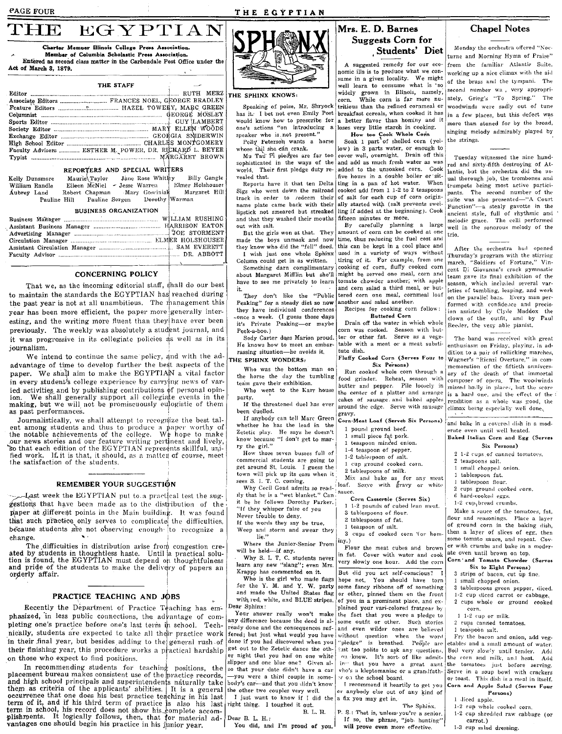#### PAGE FOUR

# THE EGYPTIAN



Entered as second class matter in the Carbondale Post Office under the Act of March 3, 1879.

|  | and the state of the state of                   |  |  |
|--|-------------------------------------------------|--|--|
|  |                                                 |  |  |
|  | Associate Editors  FRANCES NOEL, GEORGE BRADLEY |  |  |
|  |                                                 |  |  |
|  |                                                 |  |  |
|  |                                                 |  |  |
|  |                                                 |  |  |
|  |                                                 |  |  |
|  |                                                 |  |  |
|  |                                                 |  |  |
|  |                                                 |  |  |

## REPORTERS AND SPECIAL WRITERS

| Kelly Dunsmore |              | Maurie Taylor                 |  | Jane Rose Whitley |                  | Billy Gangle  |
|----------------|--------------|-------------------------------|--|-------------------|------------------|---------------|
| William Randle |              | Eileen McNiel - Jesse Warren  |  |                   | Elmer Holshouser |               |
| Aubrey Land    |              | Robert Chapman Mary Goscinial |  |                   |                  | Margaret Hill |
|                | Pauline Hill | Pauline Sorgen                |  |                   | Dorothy Warman   |               |

### **BUSINESS ORGANIZATION**

#### **CONCERNING POLICY**

That we, as the incoming editorial staff, shall do our best to maintain the standards the EGYPTIAN has reached during the past year is not at all unambitious. The management this year has been more efficient, the paper more generally interesting, and the writing more fluent than they have ever been previously. The weekly was absolutely a student journal, and it was progressive in its collegiate policies  $\frac{1}{4}$ s well as in its journalism.

We intend to continue the same policy, and with the adadvantage of time to develop further the best aspects of the paper. We shall aim to make the EGYPTIAN a vital factor in every student's college experience by carrying news of varied activities and by publishing contributions of personal opinion. We shall generally support all collegiate events in the making, but we will not be promiscuously eulogistic of them as past performances.

Journalistically, we shall attempt to recognize the best talent among students and thus to produce a paper worthy of the notable achievements of the college. We hope to make our news stories and our feature writing perthent and lively,<br>so that each edition of the EGYPTIAN represents skillful, unified work. If it is that, it should, as a matter of course, meet the satisfaction of the students.

#### REMEMBER YOUR SUGGESTION

-Jast week the EGYPTIAN put to a practical test the suggestions that have been made as to the distribution of the paper at different points in the Main building. It was found that such practice only serves to complicate the difficulties, because students are not observing enough to recognize a change.

The difficulties in distribution arise from congestion created by students in thoughtless haste. Until a practical solution is found, the EGYPTIAN must depend on thoughtfulness and pride of the students to make the delivery of papers an orderly affair.

#### PRACTICE TEACHING AND JOBS

Recently the Department of Practice Teaching has emphasized, in less public connections, the advantage of completing one's practice before one's last term in school. Technically, students are expected to take all their practice work in their final year, but besides adding to the general rush of their finishing year, this procedure works a practical hardship on those who expect to find positions.

In recommending students for teaching positions, the placement bureau makes consistent use of the bractice records. and high school principals and superintendents naturally take and mgn school philosphas and supermienteeils maturatry take<br>them as criteria of the applicants' abilities. It is a general<br>occurrence that one does his best practice teaching in his last<br>term of it, and if his third term vantages one should begin his practice in his junior year.



#### THE SPHINX KNOWS:

would know how to prescribe for speaker who is not present."

Polly Peterson wants a horse

whose tail she can crank.<br>Mu Tau Pi pledges are far too sophisticated in the ways of the world. Their first pledge duty revesled that.

Sigs who went down the railroad name plate came back with their and that they washed their mouths fifteen minutes or more. out with salt.

But the girls won at that. They made the boys unmask and now they know who did the "fell" deed. I wish just one whole Sphinx

Column could get in as written. Something darn complimentary

about Margaret Mifflin but she'll have to see me privately to learn it.

They don't like the "Public<br>Peaking" for a steady diet so now they have individual conferences once a week. (I guess those davs it's Private Peaking-or maybe Peek-a-boo.)

Sody Carter does Marion proud. He knows how to meet an embarrassing situation-he avoids it.

THE SPHINX WONDERS.

Who was the bottom man on the horse the day the tumbling

team gave their exhibition. Who went to the Karr house

narty. If the threatened duel has ever

been duelled. If anybody can tell Marc Green whether he has the lead in the

Zetetic play. He says he doesn't know because "I don't get to marry the girl."

How those seven busses full of commercial students are going to get around St. Louis. I guess the town will pick up its ears when it sees S. I. T. C. coming.

Why Cecil Goad admits so readily that he is a "wet blanket." Can it be he follows Dorothy Parker. "If they whisper false of you

Never trouble to deny.

If the words they say be true,

Weep and storm and swear they<br>lie."

Where the Junior-Senior Prom<br>will be held----if any.

Why S. I. T. C. students never learn any new "slang"; even Mrs. Krappe has commented on it.

Who is the girl who made flags for the Y. M. and Y. W. party and made the United States flag with red, white, and BLUE stripes. Dear Sphinx:

Your answer really won't make any difference because the deed is already done and the consequences suffered; but just what would you have without question when the word done if you had discovered when you | "pledge" is breathed. People are got out to the Zetetic dance the other night that you had on one white<br>slipper and one blue one? Given also that your date didn't have a car -you were a third couple in somebody's car-and that you didn't know the other two couples very well.

I just want to know if I did the right thing. I toughed it out. **B. L. H.** 

Dear B. L. H.: You did, and I'm proud of you.

# Mrs. E. D. Barnes **Suggests Corn for** Students' Diet

A suggested remedy for our economic ills is to produce what we consume in a given locality. We might well learn to consume what is so widely grown in Illinois, namely, corn While corn is far more nu-Speaking of poise, Mr. Shryock tritious than the refined cornmeal or has it. I bet not even Emily Post breakfast cereals, when cooked it has a better flavor than hominy and it one's actions "on introducing a loses very little starch in cooking.

How too Cook Whole Corin<br>Soak 1 part of shelled corn (yel-

low) in 3 parts water, or enough to cover well, overnight. Drain off this and add as much fresh water as was added to the unsoaked corn. Cook five hours in a double boiler or sit-Reports have it that ten Delta ting in a pan of hot water. When cooked add from 1 1-2 to 2 teasnoons track in order to redeem their of salt for each cup of corn originally started with (salt prevents swellinstick not smeared but streaked ling if added at the beginning). Cook

By carefully planning a large amount of corn can be cooked at one time, thus reducing the fuel cost and this can be kept in a cool place and used in a variety of ways without tiring of it. For example, from one cooking of corn, fluffy cooked corn might be served one meal, corn and tomato chowder another, with apple and corn salad a third meal, or buttered corn and meal commeal loaf another and salad another.

Recipes for cooking corn follow: **Buttered** Corn

Drain off the water in which whole corn was cooked. Season with butter or other fat. Serve as a vegetable with a meat or a meat substitute dish.

Fluffy Cooked Corn (Serves Four to Six Persons)

Run cooked whole corn through food grinder. Reheat, season with butter and pepper. Pile loosely in the center of a platter and arrange cakes of sausage and baked apples around the edge. Serve with sausage gravy.

Corn-Meat Loaf (Serves Six Persons) 1 nound ground heef.

- small piece fat pork.
- teaspoon minded onion.
- 1-4 teaspoon of pepper.
- 1-2 tablespoon of salt. 1 cup ground cooked corn.
- 2 tablespoons of milk.

Mix and bake as for any meat loaf. Serve with gravy or white

- sauce
	- Corn Casserble (Serves Six) 1-2 pounds of cubed lean meat.
	- 3 tablespoons of flour.
	- 2 tablespoons of fat.
	- 1 teaspoon of salt.

3 cuns of cooked corn '(or hominy.)

Flour the meat cubes and brown in fat. Cover with water and cook very slowly one hour. Add the corn

But did you act self-conscious? I hope not. You should have torn some fancy ribbons off of something or other, pinned them on the front of you in a prominent place, and explained your vari-colored fratgear by the fact that you were a pledge to some outfit or other. Such stories just too polite to ask any questions, ou know. It's sort of like admitin" that you have a great aunt vho's a kleptomaniac or a grandfath- Serve in a soup bowl with crackers er on the school board. I recommend it heartily to get you

or anybody else out of any kind of a fix you may get in.

The Subinx. P. S.: That is, unless you're a senior. If so, the phrase, "job hunting" will prove even more effective.

# **Chapel Notes**

Monday the orchestra offered "Nocturne and Morning Hymn of Praise" from the familiar Atlantis Suite. working up a nice climax with the aid of the brass and the tympani. The second number wa, very appropriately, Grieg's "To Spring." The woodwinds were sadly out of tune in a few places, but this defect was more than atoned for by the broad, singing melody admirably played by the strings.

Tuesday witnessed the nine hundred and sixty-fifth destroying of Atlantis, but the orchestra did the usual thorough job, the trombones and trumpets being most active participants. The second number of the suite was also presented-"A Court Function"-a stealy gavotte in the ancient style, full of rhythmic and melodic grace. The celli performed well in the sonorous melody of the trio

After the orchestra had opened Thursday's program with the stirring march, "Soldiers of Fortune," Vincent Di Giovanna's crack gymnastic team gave its final exhibition of the season, which included several varleties of tumbling, leaping, and work on the parallel bars. Every man performed with confidence and precision assisted by Clyde Maddox the clown of the outfit, and by Paul Reeder, the very able pianist.

The band was received with great enthusiasm on Friday, playing, in addition to a pair of rollicking marches, Wagner's "Rienzi Overture," in commemoration of the fiftieth anniversary of the death of that immortal composer of opera. The woodwinds missed badly in places, but the score is a hard one, and the effect of the rendition as a whole was good, the climax being especially well done.

and bake in a covered dish in a moderate oven until well heated. Baked Italian Corn and Egg (Serve

## Six Persons)

- 2-1-2 cups of canned tomatoes,
- 2 teaspoons salt.
- 1 small chopped onion.
- 1 tablespoon fat.
- 1 tablespoon flour.
- 2 cups ground cooked corn.
- 6 hard-cooked eggs.
- 1-2 cup, bread crumbs

Make a sauce of the tomatoes, fat, flour and seasonings. Place a layer of ground corn in the baking dish, then a layer of slices of egg, then some tomato sauce, and repeat. Cover with crumbs and hake in a moderate oven until brown on top.

Corn and Tomato Chowder (Serves Six to Eight Persons)

- 3 strips of bacon, cut up fine
- 1 small chopped onion.
- 3 tablespoons green pepper, diced.

1-2 cup diced carrot or cabbage. 2 cups whole or ground cooked corn.

- $1-1-2$  cup or milk.
- 2 cups canned tomatoes.
- 1 teaspoon salt.

Fry the bacon and onion, add vegetables and a small amount of water. Boil very slowly until tender. Add the corn and milk, and heat. Add the tomatoes just before serving. or toast. This dish is a meal in itself, Corn and Apple Salad (Serves Four Persons)

1 diced apple.

carrot.)

1-3 cup salad dressing.

1-2 cup whole cooked corn. 1-2 cup shredded raw cabbage (or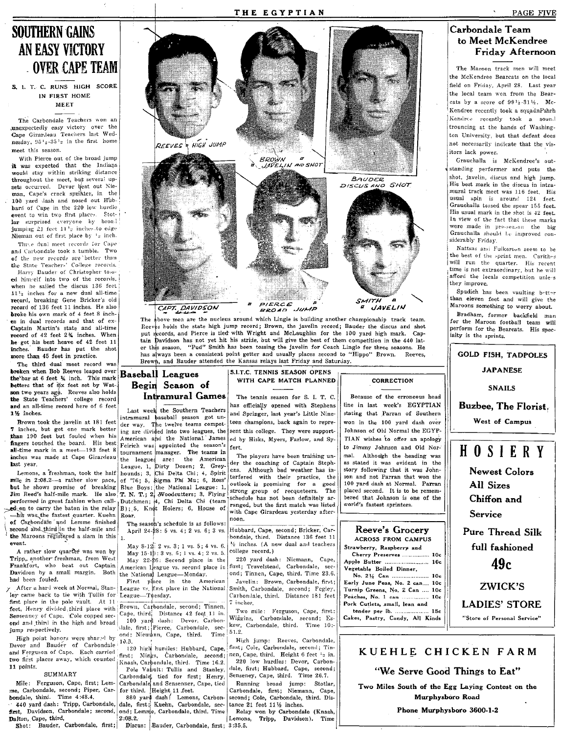# **SOUTHERN GAINS** AN EASY VICTORY **OVER CAPE TEAM**

S. I. T. C. RUNS HIGH SCORE IN FIRST HOME **MEET** 

The Carbondale Teachers won an anexpectedly easy victory over the Cape Giranleau Teachers last Wednesday, 95<sup>1</sup>2-35<sup>1</sup>2 in the first home meet this season.

With Pierce out of the broad jump it was expected that the Indians would stay within striking distance<br>throughout the meet, but several upsets occurred. Devor beat out Nieman, Cape's crack sprinter, in the 100 yard dash and nosed out Hubbard of Cape in the 220 low hurdle event to win two first places. Stotlar surprised everyone by broad jumping 21 feet 11'2 inches to edge Nieman out of first place by 12 inch.

Three dual meet records for Cape and Carbondale took a tumble. Two of the new records are better than Harry Bauder of Christopher tossed himself into two of the records. when he sailed the discus 136 feet 11<sup>1</sup>2 inches for a new dual all-time record, breaking Gene Bricker's old record of 136 feet 11 inches. He also broke his own mark of 4 feet 8 inches in dual records and that of ex-Captain Martin's state and all-time record of 42 feet 2% inches. When he got his best heave of 42 feet 11 inches. Bauder has put the shot more than 45 feet in practice.

The third dual meet record was broken when Bob Reeves leaped over the bar at 6 feet 1/4 inch. This mark betters that of six feet set by Watson two years ago. Reeves also holds the State Teachers' college record and an all-time record here of 6 feet 1% inches.

Brown took the javelin at 181 feet 7 inches, but got one mark better than 190 feet but fouled when his fingers touched the board. His best Feirich was appointed the season's all-time mark in a meet-193 feet 8 inches was made at Cape Girardeau

but he shows promise of breaking Jim Reed's half-mile mark. He also T, N. T.; 2 Woodcutters; 3, Flying performed in great fashion when call-<br>
Dutchmen; 4, Chi Delta Chi (team<br>
ad on to carry the baton in the relay B); 5, Knot Holers; 6, House of don to carry the baton in the relay his was the fastest quarter. Kuehn Roar. of Carbondale and Lemme finished second and third in the half-mile and the Maroons registered a slam in this event.

A rather slow quarter was won by Tripp, another freshman, from West Frankfort, who beat out Captain Davidson by a small margin. Both had been fouled.

ley came back to tie with Tullis for League-Tuesday. first place in the pole vault. At 11 feet, Henry divided third place with Brown, Carbondale, second; Tinnen, Sensenney of Cape. \Cole copped second and third in the high and broad jump respectively.

High point honors were shared by Devor and Bauder of Carbondale 10.<sup>B</sup>. and Ferguson of Cape. Each carried two first places away, which counted 11 points.

### SUMMARY

440 yard dash: Tripp, Carbondale, dale, first; Kuehn, Carbondale, secfirst, Davidson, Carbondale; second, ond; Lemme, Carbondale, third. Time

 $2:08.2.$ Dalton, Cape, third. Shot: Bauder, Carbondale, first; Discus: Bauder, Carbondale, first; 3:35.5.



THE EGYPTIAN

Reeves holds the state high jump record; Brown, the javelin record; Bauder the discus and shot put records, and Pierce is tied with Wright and McLaughlin for the 100 yard high mark. Captain Davidson has not yet hit his stride, but will give the best of them competition in the 440 later this season. "Pud" Smith has been tossing the javelin for Coach Lingle for three seasons. He has a ways been a consistent point getter and usually places second to "Hippo" Brown. Reeves, Brown, and Bauder attended the Kansas relays last Friday and Saturday.

# **Baseball Leagues** Begin Season of **Intramural Games**

Last week the Southern Teachers intramural baseball season got under way. The twelve teams competing are divided into two leagues, the American and the National. James tournament manager. The teams in inches was made at Cape Girardeau be leagues are: the American<br>
last year.<br>
Lengues 1, Dirty Dozen; 2, Grey-<br>
Lemons, a freshman, took the half hounds; 3, Chi Delta Chi; 4, Spirit<br>
mile in 2:08.2—a rather slow pace, of '76 Blue Boys; the National League: 1,

The season's schedule is as follows: April 24-28: 5 vs. 4; 2 vs. 6; 3 vs.

 $\mathbf{1}$ 

May 8-12: 2 vs. 3: 1 vs. 5: 4 vs. 6. May  $15-19:3$  vs. 6; 1 vs. 4; 2 vs. 5. May 22-26: Second place in the American League vs. second place in the National League-Monday.<br>First place in the American

After a hard week at Normal, Stan- League vs. first place in the National

Brown, Carooniane, Second, Limesi, Cape, third, Distance 42 feet, 11 in.<br>100 yard dash: Devor, Carbon-<br>3. The first; Pierce, Carbondale, second; Niemann, Cape, third. Time

120 high hurdles: Hubbard, Cape, first; Mings, Carbondale, second; Knash, Carbondale, third. Time 16.2.

Pole Vault: Tullis and Stanley, SUMMARY Carbondale, tied for first; Henry,<br>
Mile: Ferguson, Cape, first; Lem-<br>
Carbondale, tied for first; Henry,<br>
Mile: Ferguson, Cape, first; Lem-<br>
Carbondale, and Sensenner, Cape, tied<br>
bondale, third. Time 4:48.4.<br>
880

S.I.T.C. TENNIS SEASON OPENS WITH CAPE MATCH PLANNED

The tennis season for S. I. T. C. has officially opened with Stephens and Springer, last year's Little Nineteen champions, back again to represent this college. They were supported by Hisks, Myers, Farlow, and Syfert.

The players have been training under the coaching of Captain Stephens. Although bad weather has interfered with their practice, the outlook is promising for a good strong group of recqueteers.  $The$ schedule has not been definitely arranged, but the first match was listed with Cape Girardeau yesterday afternoon.

Hubbard, Cape, second; Bricker, Carbondale, third. Distance 136 feet 11 1/2 inches. (A new dual and teachers college record.)

220 yard dash: Niemann, Cape, first; Travelstead, Carbondale, second; Tinnen, Cape, third. Time 23.6. Javelin: Brown, Carbondale, first; Smith, Carbondale, second; Fegley, Carbondale, third. Distance 181 feet 7 inches.

Two mile: Ferguson, Cape, first: Wiggins, Carbondale, second; Es-51.2

High jump: Reeves, Carbondale, first; Cole, Carbondale, second; Tinnen, Cape, third. Height 6 feet <sup>12</sup> in. 220 low hurdles: Devor, Carbondale, first; Hubbard, Cape, second; Senseney, Cape, third. Time 26.7.

Running broad jump: Stotlar,<br>Carbondale, first; Niemann, Cape, second; Cole, Carbondale, third. Distance 21 feet 111/2 inches.

Relay won by Carbondale (Knash, Lemons, Tripp, Davidson). Time

### CORRECTION

Because of the erroneous head line in last week's EGYPTIAN stating that Parran of Southern won in the 100 yard dash over Johnson of Old Normal the EGYP-TIAN wishes to offer an apology to Jimmy Johnson and Old Normal. Although the heading was as stated it was evident in the story following that it was Johnson and not Parran that won the 100 yard dash at Normal. Parran placed second. It is to be remembered that Johnson is one of the world's fastest sprinters.

Reeve's Grocery **ACROSS FROM CAMPUS** 

Strawberry, Raspberry and Cherry Preserves ................ 10c Apple Butter ........................... 10c Vegetable Boiled Dinner,<br>No. 2 <sup>32</sup> Can .................

........ 10-Early June Peas, No. 2 can.... 10c Turnip Greens, No. 2 Can .... 10c Peaches, No. 1 can  $... 10c$ Pork Cutiets, small, lean and tender per lb. ..........  $15c$ 

Cakes, Pastry, Candy, All Kinds

# Carbondale Team to Meet McKendree Friday Afternoon

The Maroon track men will meet the McKendree Bearcats on the local field on Friday, April 28. Last year the local team won from the Bearcats by a score of 9914-3116. Mc-Kendree recently took a squadnPshrh Kendree recently took a sound trouncing at the hands of Washington University, but that defeat does not necessarily indicate that the visitors lack power.

Grauchalla is McKendree's outstanding performer and puts the shot, javelin, discus and high jump. His best mark in the discus in intramural track meet was 116 feet. His usual spin is around 124 feet. Grauchalla tossed the spear 155 feet. His usual mark in the shot is 42 feet. In view of the fact that these marks were made in pre-season the big Grauchalla should be improved considerably Friday.

Nattsas and Fulkerson seem to be the best of the sprint men. Carithes time is not extraordinary, but he will afford the locals competition unless they improve.

Spudich has been vaulting botter than eleven feet and will give the Maroons something to worry about.

Bradham, former backfield man for the Maroon football team will perform for the Bearcats. His specialty is the sprints.

**GOLD FISH, TADPOLES JAPANESE SNAILS** 

Buzbee, The Florist.

West of Campus

# HOSIERY

**Newest Colors** All Sizes Chiffon and

Service

**Pure Thread Silk** full fashioned

 $49c$ 

**ZWICK'S** 

**LADIES' STORE** "Store of Personal Service"

KUEHLE CHICKEN FARM

"We Serve Good Things to Eat"

Two Miles South of the Egg Laying Contest on the Murphysboro Road

Phone Murphysboro 3600-1-2